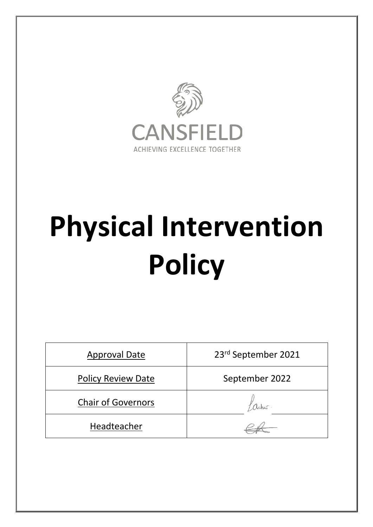

# **Physical Intervention Policy**

| <b>Approval Date</b>      | 23rd September 2021 |
|---------------------------|---------------------|
| <b>Policy Review Date</b> | September 2022      |
| <b>Chair of Governors</b> |                     |
| Headteacher               |                     |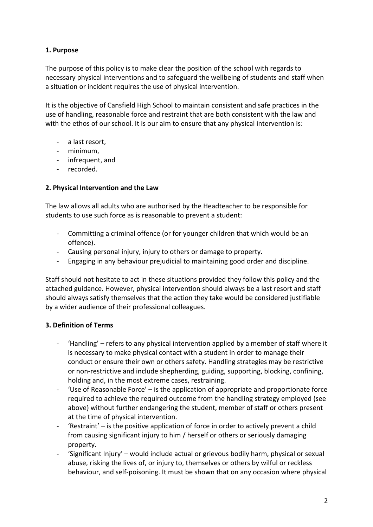# **1. Purpose**

The purpose of this policy is to make clear the position of the school with regards to necessary physical interventions and to safeguard the wellbeing of students and staff when a situation or incident requires the use of physical intervention.

It is the objective of Cansfield High School to maintain consistent and safe practices in the use of handling, reasonable force and restraint that are both consistent with the law and with the ethos of our school. It is our aim to ensure that any physical intervention is:

- a last resort,
- minimum,
- infrequent, and
- recorded.

# **2. Physical Intervention and the Law**

The law allows all adults who are authorised by the Headteacher to be responsible for students to use such force as is reasonable to prevent a student:

- Committing a criminal offence (or for younger children that which would be an offence).
- Causing personal injury, injury to others or damage to property.
- Engaging in any behaviour prejudicial to maintaining good order and discipline.

Staff should not hesitate to act in these situations provided they follow this policy and the attached guidance. However, physical intervention should always be a last resort and staff should always satisfy themselves that the action they take would be considered justifiable by a wider audience of their professional colleagues.

## **3. Definition of Terms**

- 'Handling' refers to any physical intervention applied by a member of staff where it is necessary to make physical contact with a student in order to manage their conduct or ensure their own or others safety. Handling strategies may be restrictive or non-restrictive and include shepherding, guiding, supporting, blocking, confining, holding and, in the most extreme cases, restraining.
- 'Use of Reasonable Force' is the application of appropriate and proportionate force required to achieve the required outcome from the handling strategy employed (see above) without further endangering the student, member of staff or others present at the time of physical intervention.
- 'Restraint' is the positive application of force in order to actively prevent a child from causing significant injury to him / herself or others or seriously damaging property.
- 'Significant Injury' would include actual or grievous bodily harm, physical or sexual abuse, risking the lives of, or injury to, themselves or others by wilful or reckless behaviour, and self-poisoning. It must be shown that on any occasion where physical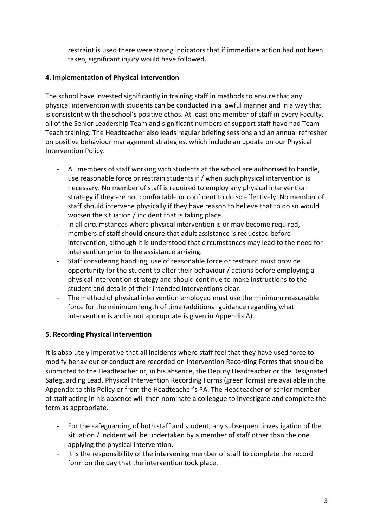restraint is used there were strong indicators that if immediate action had not been taken, significant injury would have followed.

# **4. Implementation of Physical Intervention**

The school have invested significantly in training staff in methods to ensure that any physical intervention with students can be conducted in a lawful manner and in a way that is consistent with the school's positive ethos. At least one member of staff in every Faculty, all of the Senior Leadership Team and significant numbers of support staff have had Team Teach training. The Headteacher also leads regular briefing sessions and an annual refresher on positive behaviour management strategies, which include an update on our Physical Intervention Policy.

- All members of staff working with students at the school are authorised to handle, use reasonable force or restrain students if / when such physical intervention is necessary. No member of staff is required to employ any physical intervention strategy if they are not comfortable or confident to do so effectively. No member of staff should intervene physically if they have reason to believe that to do so would worsen the situation / incident that is taking place.
- In all circumstances where physical intervention is or may become required, members of staff should ensure that adult assistance is requested before intervention, although it is understood that circumstances may lead to the need for intervention prior to the assistance arriving.
- Staff considering handling, use of reasonable force or restraint must provide opportunity for the student to alter their behaviour / actions before employing a physical intervention strategy and should continue to make instructions to the student and details of their intended interventions clear.
- The method of physical intervention employed must use the minimum reasonable force for the minimum length of time (additional guidance regarding what intervention is and is not appropriate is given in Appendix A).

# **5. Recording Physical Intervention**

It is absolutely imperative that all incidents where staff feel that they have used force to modify behaviour or conduct are recorded on Intervention Recording Forms that should be submitted to the Headteacher or, in his absence, the Deputy Headteacher or the Designated Safeguarding Lead. Physical Intervention Recording Forms (green forms) are available in the Appendix to this Policy or from the Headteacher's PA. The Headteacher or senior member of staff acting in his absence will then nominate a colleague to investigate and complete the form as appropriate.

- For the safeguarding of both staff and student, any subsequent investigation of the situation / incident will be undertaken by a member of staff other than the one applying the physical intervention.
- It is the responsibility of the intervening member of staff to complete the record form on the day that the intervention took place.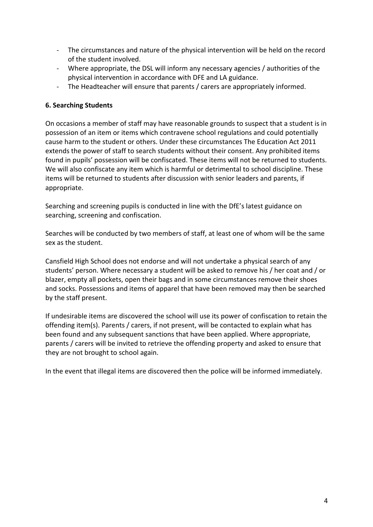- The circumstances and nature of the physical intervention will be held on the record of the student involved.
- Where appropriate, the DSL will inform any necessary agencies / authorities of the physical intervention in accordance with DFE and LA guidance.
- The Headteacher will ensure that parents / carers are appropriately informed.

## **6. Searching Students**

On occasions a member of staff may have reasonable grounds to suspect that a student is in possession of an item or items which contravene school regulations and could potentially cause harm to the student or others. Under these circumstances The Education Act 2011 extends the power of staff to search students without their consent. Any prohibited items found in pupils' possession will be confiscated. These items will not be returned to students. We will also confiscate any item which is harmful or detrimental to school discipline. These items will be returned to students after discussion with senior leaders and parents, if appropriate.

Searching and screening pupils is conducted in line with the DfE's latest guidance on searching, screening and confiscation.

Searches will be conducted by two members of staff, at least one of whom will be the same sex as the student.

Cansfield High School does not endorse and will not undertake a physical search of any students' person. Where necessary a student will be asked to remove his / her coat and / or blazer, empty all pockets, open their bags and in some circumstances remove their shoes and socks. Possessions and items of apparel that have been removed may then be searched by the staff present.

If undesirable items are discovered the school will use its power of confiscation to retain the offending item(s). Parents / carers, if not present, will be contacted to explain what has been found and any subsequent sanctions that have been applied. Where appropriate, parents / carers will be invited to retrieve the offending property and asked to ensure that they are not brought to school again.

In the event that illegal items are discovered then the police will be informed immediately.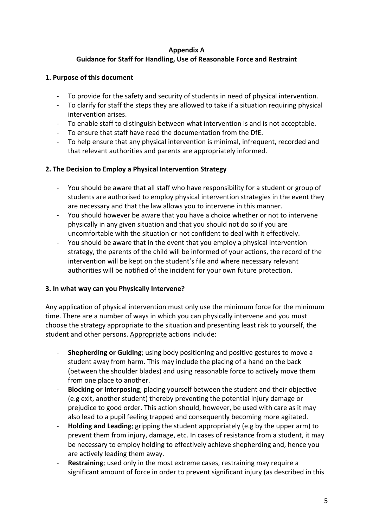### **Appendix A**

# **Guidance for Staff for Handling, Use of Reasonable Force and Restraint**

# **1. Purpose of this document**

- To provide for the safety and security of students in need of physical intervention.
- To clarify for staff the steps they are allowed to take if a situation requiring physical intervention arises.
- To enable staff to distinguish between what intervention is and is not acceptable.
- To ensure that staff have read the documentation from the DfE.
- To help ensure that any physical intervention is minimal, infrequent, recorded and that relevant authorities and parents are appropriately informed.

## **2. The Decision to Employ a Physical Intervention Strategy**

- You should be aware that all staff who have responsibility for a student or group of students are authorised to employ physical intervention strategies in the event they are necessary and that the law allows you to intervene in this manner.
- You should however be aware that you have a choice whether or not to intervene physically in any given situation and that you should not do so if you are uncomfortable with the situation or not confident to deal with it effectively.
- You should be aware that in the event that you employ a physical intervention strategy, the parents of the child will be informed of your actions, the record of the intervention will be kept on the student's file and where necessary relevant authorities will be notified of the incident for your own future protection.

## **3. In what way can you Physically Intervene?**

Any application of physical intervention must only use the minimum force for the minimum time. There are a number of ways in which you can physically intervene and you must choose the strategy appropriate to the situation and presenting least risk to yourself, the student and other persons. Appropriate actions include:

- **Shepherding or Guiding**; using body positioning and positive gestures to move a student away from harm. This may include the placing of a hand on the back (between the shoulder blades) and using reasonable force to actively move them from one place to another.
- **Blocking or Interposing**; placing yourself between the student and their objective (e.g exit, another student) thereby preventing the potential injury damage or prejudice to good order. This action should, however, be used with care as it may also lead to a pupil feeling trapped and consequently becoming more agitated.
- **Holding and Leading**; gripping the student appropriately (e.g by the upper arm) to prevent them from injury, damage, etc. In cases of resistance from a student, it may be necessary to employ holding to effectively achieve shepherding and, hence you are actively leading them away.
- **Restraining**; used only in the most extreme cases, restraining may require a significant amount of force in order to prevent significant injury (as described in this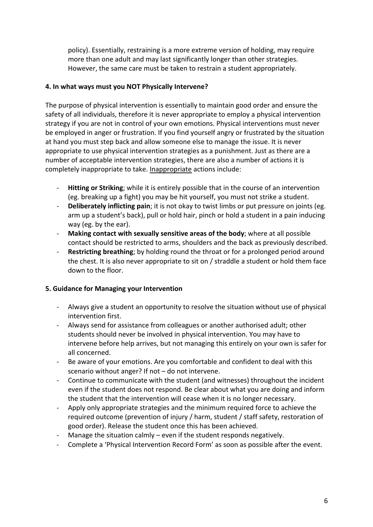policy). Essentially, restraining is a more extreme version of holding, may require more than one adult and may last significantly longer than other strategies. However, the same care must be taken to restrain a student appropriately.

## **4. In what ways must you NOT Physically Intervene?**

The purpose of physical intervention is essentially to maintain good order and ensure the safety of all individuals, therefore it is never appropriate to employ a physical intervention strategy if you are not in control of your own emotions. Physical interventions must never be employed in anger or frustration. If you find yourself angry or frustrated by the situation at hand you must step back and allow someone else to manage the issue. It is never appropriate to use physical intervention strategies as a punishment. Just as there are a number of acceptable intervention strategies, there are also a number of actions it is completely inappropriate to take. Inappropriate actions include:

- **Hitting or Striking**; while it is entirely possible that in the course of an intervention (eg. breaking up a fight) you may be hit yourself, you must not strike a student.
- **Deliberately inflicting pain**; it is not okay to twist limbs or put pressure on joints (eg. arm up a student's back), pull or hold hair, pinch or hold a student in a pain inducing way (eg. by the ear).
- **Making contact with sexually sensitive areas of the body**; where at all possible contact should be restricted to arms, shoulders and the back as previously described.
- **Restricting breathing**; by holding round the throat or for a prolonged period around the chest. It is also never appropriate to sit on / straddle a student or hold them face down to the floor.

### **5. Guidance for Managing your Intervention**

- Always give a student an opportunity to resolve the situation without use of physical intervention first.
- Always send for assistance from colleagues or another authorised adult; other students should never be involved in physical intervention. You may have to intervene before help arrives, but not managing this entirely on your own is safer for all concerned.
- Be aware of your emotions. Are you comfortable and confident to deal with this scenario without anger? If not – do not intervene.
- Continue to communicate with the student (and witnesses) throughout the incident even if the student does not respond. Be clear about what you are doing and inform the student that the intervention will cease when it is no longer necessary.
- Apply only appropriate strategies and the minimum required force to achieve the required outcome (prevention of injury / harm, student / staff safety, restoration of good order). Release the student once this has been achieved.
- Manage the situation calmly even if the student responds negatively.
- Complete a 'Physical Intervention Record Form' as soon as possible after the event.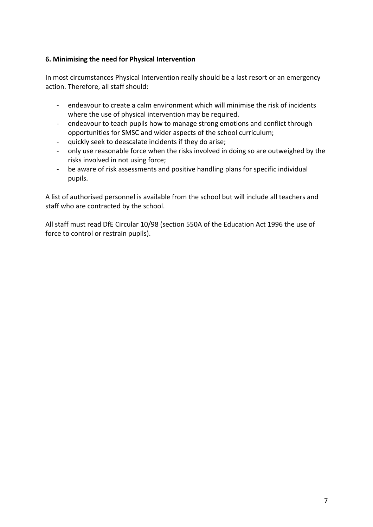# **6. Minimising the need for Physical Intervention**

In most circumstances Physical Intervention really should be a last resort or an emergency action. Therefore, all staff should:

- endeavour to create a calm environment which will minimise the risk of incidents where the use of physical intervention may be required.
- endeavour to teach pupils how to manage strong emotions and conflict through opportunities for SMSC and wider aspects of the school curriculum;
- quickly seek to deescalate incidents if they do arise;
- only use reasonable force when the risks involved in doing so are outweighed by the risks involved in not using force;
- be aware of risk assessments and positive handling plans for specific individual pupils.

A list of authorised personnel is available from the school but will include all teachers and staff who are contracted by the school.

All staff must read DfE Circular 10/98 (section 550A of the Education Act 1996 the use of force to control or restrain pupils).